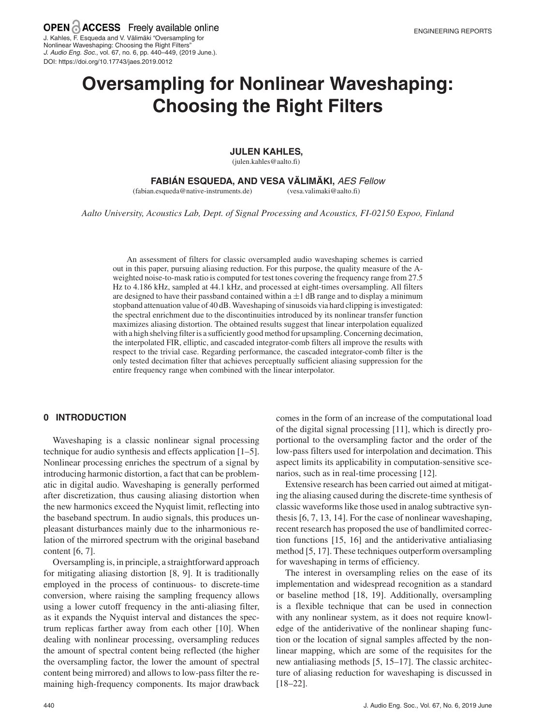J. Audio Eng. Soc., vol. 67, no. 6, pp. 440–449, (2019 June.).

DOI: https://doi.org/10.17743/jaes.2019.0012

**Oversampling for Nonlinear Waveshaping: Choosing the Right Filters**

#### **JULEN KAHLES ,**

(julen.kahles@aalto.fi)

## **FABIAN ESQUEDA ´ , AND VESA VALIM ¨ AKI, ¨** AES Fellow

(fabian.esqueda@native-instruments.de)

(vesa.valimaki@aalto.fi)

*Aalto University, Acoustics Lab, Dept. of Signal Processing and Acoustics, FI-02150 Espoo, Finland*

An assessment of filters for classic oversampled audio waveshaping schemes is carried out in this paper, pursuing aliasing reduction. For this purpose, the quality measure of the Aweighted noise-to-mask ratio is computed for test tones covering the frequency range from 27.5 Hz to 4.186 kHz, sampled at 44.1 kHz, and processed at eight-times oversampling. All filters are designed to have their passband contained within  $a \pm 1$  dB range and to display a minimum stopband attenuation value of 40 dB.Waveshaping of sinusoids via hard clipping is investigated: the spectral enrichment due to the discontinuities introduced by its nonlinear transfer function maximizes aliasing distortion. The obtained results suggest that linear interpolation equalized with a high shelving filter is a sufficiently good method for upsampling. Concerning decimation, the interpolated FIR, elliptic, and cascaded integrator-comb filters all improve the results with respect to the trivial case. Regarding performance, the cascaded integrator-comb filter is the only tested decimation filter that achieves perceptually sufficient aliasing suppression for the entire frequency range when combined with the linear interpolator.

### **0 INTRODUCTION**

Waveshaping is a classic nonlinear signal processing technique for audio synthesis and effects application [1–5]. Nonlinear processing enriches the spectrum of a signal by introducing harmonic distortion, a fact that can be problematic in digital audio. Waveshaping is generally performed after discretization, thus causing aliasing distortion when the new harmonics exceed the Nyquist limit, reflecting into the baseband spectrum. In audio signals, this produces unpleasant disturbances mainly due to the inharmonious relation of the mirrored spectrum with the original baseband content [6, 7].

Oversampling is, in principle, a straightforward approach for mitigating aliasing distortion [8, 9]. It is traditionally employed in the process of continuous- to discrete-time conversion, where raising the sampling frequency allows using a lower cutoff frequency in the anti-aliasing filter, as it expands the Nyquist interval and distances the spectrum replicas farther away from each other [10]. When dealing with nonlinear processing, oversampling reduces the amount of spectral content being reflected (the higher the oversampling factor, the lower the amount of spectral content being mirrored) and allows to low-pass filter the remaining high-frequency components. Its major drawback comes in the form of an increase of the computational load of the digital signal processing [11], which is directly proportional to the oversampling factor and the order of the low-pass filters used for interpolation and decimation. This aspect limits its applicability in computation-sensitive scenarios, such as in real-time processing [12].

Extensive research has been carried out aimed at mitigating the aliasing caused during the discrete-time synthesis of classic waveforms like those used in analog subtractive synthesis [6, 7, 13, 14]. For the case of nonlinear waveshaping, recent research has proposed the use of bandlimited correction functions [15, 16] and the antiderivative antialiasing method [5, 17]. These techniques outperform oversampling for waveshaping in terms of efficiency.

The interest in oversampling relies on the ease of its implementation and widespread recognition as a standard or baseline method [18, 19]. Additionally, oversampling is a flexible technique that can be used in connection with any nonlinear system, as it does not require knowledge of the antiderivative of the nonlinear shaping function or the location of signal samples affected by the nonlinear mapping, which are some of the requisites for the new antialiasing methods [5, 15–17]. The classic architecture of aliasing reduction for waveshaping is discussed in [18–22].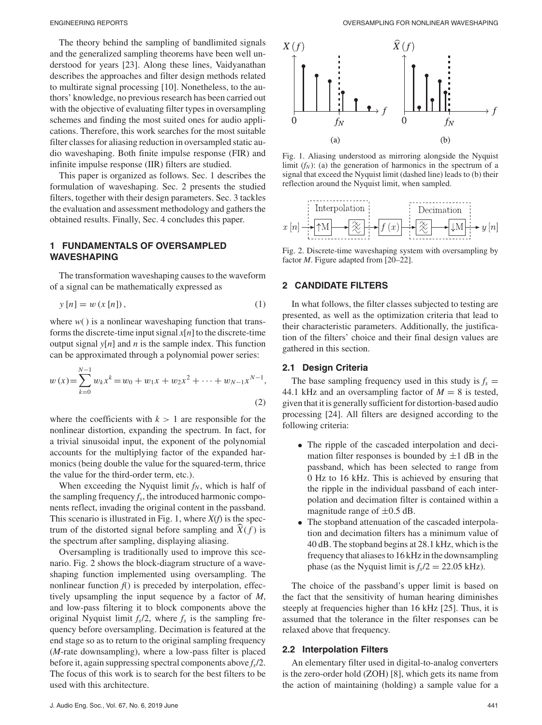The theory behind the sampling of bandlimited signals and the generalized sampling theorems have been well understood for years [23]. Along these lines, Vaidyanathan describes the approaches and filter design methods related to multirate signal processing [10]. Nonetheless, to the authors' knowledge, no previous research has been carried out with the objective of evaluating filter types in oversampling schemes and finding the most suited ones for audio applications. Therefore, this work searches for the most suitable filter classes for aliasing reduction in oversampled static audio waveshaping. Both finite impulse response (FIR) and infinite impulse response (IIR) filters are studied.

This paper is organized as follows. Sec. 1 describes the formulation of waveshaping. Sec. 2 presents the studied filters, together with their design parameters. Sec. 3 tackles the evaluation and assessment methodology and gathers the obtained results. Finally, Sec. 4 concludes this paper.

## **1 FUNDAMENTALS OF OVERSAMPLED WAVESHAPING**

The transformation waveshaping causes to the waveform of a signal can be mathematically expressed as

$$
y[n] = w(x[n]),
$$
\n<sup>(1)</sup>

where  $w()$  is a nonlinear waveshaping function that transforms the discrete-time input signal  $x[n]$  to the discrete-time output signal  $y[n]$  and *n* is the sample index. This function can be approximated through a polynomial power series:

$$
w(x) = \sum_{k=0}^{N-1} w_k x^k = w_0 + w_1 x + w_2 x^2 + \dots + w_{N-1} x^{N-1},
$$
\n(2)

where the coefficients with  $k > 1$  are responsible for the nonlinear distortion, expanding the spectrum. In fact, for a trivial sinusoidal input, the exponent of the polynomial accounts for the multiplying factor of the expanded harmonics (being double the value for the squared-term, thrice the value for the third-order term, etc.).

When exceeding the Nyquist limit  $f_N$ , which is half of the sampling frequency  $f_s$ , the introduced harmonic components reflect, invading the original content in the passband. This scenario is illustrated in Fig. 1, where *X*(*f*) is the spectrum of the distorted signal before sampling and  $\hat{X}(f)$  is the spectrum after sampling, displaying aliasing.

Oversampling is traditionally used to improve this scenario. Fig. 2 shows the block-diagram structure of a waveshaping function implemented using oversampling. The nonlinear function *f*() is preceded by interpolation, effectively upsampling the input sequence by a factor of *M*, and low-pass filtering it to block components above the original Nyquist limit  $f_s/2$ , where  $f_s$  is the sampling frequency before oversampling. Decimation is featured at the end stage so as to return to the original sampling frequency (*M*-rate downsampling), where a low-pass filter is placed before it, again suppressing spectral components above *fs*/2. The focus of this work is to search for the best filters to be used with this architecture.



Fig. 1. Aliasing understood as mirroring alongside the Nyquist limit  $(f_N)$ : (a) the generation of harmonics in the spectrum of a signal that exceed the Nyquist limit (dashed line) leads to (b) their reflection around the Nyquist limit, when sampled.

$$
x[n] \longrightarrow \boxed{\uparrow M} \longrightarrow \boxed{\underbrace{\overset{\text{Interpolation}}{\times}} \longrightarrow f(x)} \longrightarrow \boxed{\overset{\text{Decimation}}{\times}} \longrightarrow \boxed{\downarrow M} \longrightarrow y[n]
$$

Fig. 2. Discrete-time waveshaping system with oversampling by factor *M*. Figure adapted from [20–22].

## **2 CANDIDATE FILTERS**

In what follows, the filter classes subjected to testing are presented, as well as the optimization criteria that lead to their characteristic parameters. Additionally, the justification of the filters' choice and their final design values are gathered in this section.

### **2.1 Design Criteria**

The base sampling frequency used in this study is  $f_s$  = 44.1 kHz and an oversampling factor of  $M = 8$  is tested, given that it is generally sufficient for distortion-based audio processing [24]. All filters are designed according to the following criteria:

- The ripple of the cascaded interpolation and decimation filter responses is bounded by  $\pm 1$  dB in the passband, which has been selected to range from 0 Hz to 16 kHz. This is achieved by ensuring that the ripple in the individual passband of each interpolation and decimation filter is contained within a magnitude range of  $\pm 0.5$  dB.
- The stopband attenuation of the cascaded interpolation and decimation filters has a minimum value of 40 dB. The stopband begins at 28.1 kHz, which is the frequency that aliases to 16 kHz in the downsampling phase (as the Nyquist limit is  $f_s/2 = 22.05$  kHz).

The choice of the passband's upper limit is based on the fact that the sensitivity of human hearing diminishes steeply at frequencies higher than 16 kHz [25]. Thus, it is assumed that the tolerance in the filter responses can be relaxed above that frequency.

#### **2.2 Interpolation Filters**

An elementary filter used in digital-to-analog converters is the zero-order hold (ZOH) [8], which gets its name from the action of maintaining (holding) a sample value for a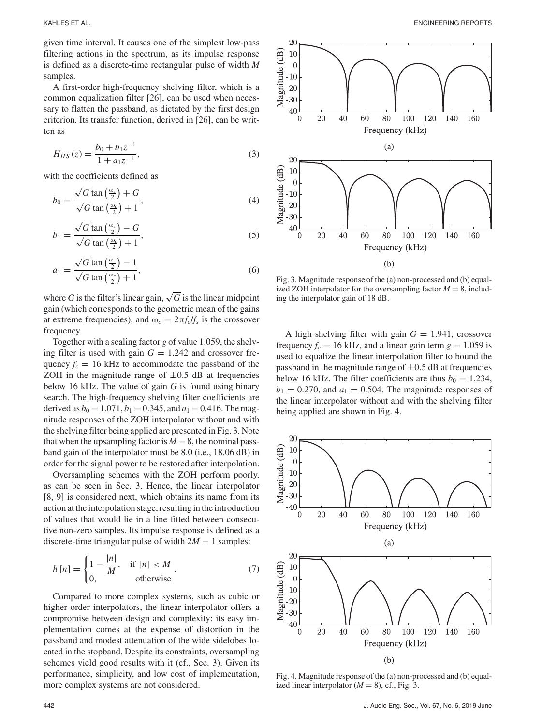given time interval. It causes one of the simplest low-pass filtering actions in the spectrum, as its impulse response is defined as a discrete-time rectangular pulse of width *M* samples.

A first-order high-frequency shelving filter, which is a common equalization filter [26], can be used when necessary to flatten the passband, as dictated by the first design criterion. Its transfer function, derived in [26], can be written as

$$
H_{HS}(z) = \frac{b_0 + b_1 z^{-1}}{1 + a_1 z^{-1}},
$$
\n(3)

with the coefficients defined as

$$
b_0 = \frac{\sqrt{G} \tan\left(\frac{\omega_c}{2}\right) + G}{\sqrt{G} \tan\left(\frac{\omega_c}{2}\right) + 1},\tag{4}
$$

$$
b_1 = \frac{\sqrt{G} \tan\left(\frac{\omega_c}{2}\right) - G}{\sqrt{G} \tan\left(\frac{\omega_c}{2}\right) + 1},\tag{5}
$$

$$
a_1 = \frac{\sqrt{G} \tan\left(\frac{\omega_c}{2}\right) - 1}{\sqrt{G} \tan\left(\frac{\omega_c}{2}\right) + 1},\tag{6}
$$

where *G* is the filter's linear gain,  $\sqrt{G}$  is the linear midpoint gain (which corresponds to the geometric mean of the gains at extreme frequencies), and  $\omega_c = 2\pi f_c/f_s$  is the crossover frequency.

Together with a scaling factor *g* of value 1.059, the shelving filter is used with gain  $G = 1.242$  and crossover frequency  $f_c = 16$  kHz to accommodate the passband of the ZOH in the magnitude range of  $\pm 0.5$  dB at frequencies below 16 kHz. The value of gain *G* is found using binary search. The high-frequency shelving filter coefficients are derived as  $b_0 = 1.071$ ,  $b_1 = 0.345$ , and  $a_1 = 0.416$ . The magnitude responses of the ZOH interpolator without and with the shelving filter being applied are presented in Fig. 3. Note that when the upsampling factor is  $M = 8$ , the nominal passband gain of the interpolator must be 8.0 (i.e., 18.06 dB) in order for the signal power to be restored after interpolation.

Oversampling schemes with the ZOH perform poorly, as can be seen in Sec. 3. Hence, the linear interpolator [8, 9] is considered next, which obtains its name from its action at the interpolation stage, resulting in the introduction of values that would lie in a line fitted between consecutive non-zero samples. Its impulse response is defined as a discrete-time triangular pulse of width 2*M* − 1 samples:

$$
h[n] = \begin{cases} 1 - \frac{|n|}{M}, & \text{if } |n| < M \\ 0, & \text{otherwise} \end{cases}
$$
 (7)

Compared to more complex systems, such as cubic or higher order interpolators, the linear interpolator offers a compromise between design and complexity: its easy implementation comes at the expense of distortion in the passband and modest attenuation of the wide sidelobes located in the stopband. Despite its constraints, oversampling schemes yield good results with it (cf., Sec. 3). Given its performance, simplicity, and low cost of implementation, more complex systems are not considered.



Fig. 3. Magnitude response of the (a) non-processed and (b) equalized ZOH interpolator for the oversampling factor  $M = 8$ , including the interpolator gain of 18 dB.

A high shelving filter with gain  $G = 1.941$ , crossover frequency  $f_c = 16$  kHz, and a linear gain term  $g = 1.059$  is used to equalize the linear interpolation filter to bound the passband in the magnitude range of  $\pm 0.5$  dB at frequencies below 16 kHz. The filter coefficients are thus  $b_0 = 1.234$ ,  $b_1 = 0.270$ , and  $a_1 = 0.504$ . The magnitude responses of the linear interpolator without and with the shelving filter being applied are shown in Fig. 4.



Fig. 4. Magnitude response of the (a) non-processed and (b) equalized linear interpolator  $(M = 8)$ , cf., Fig. 3.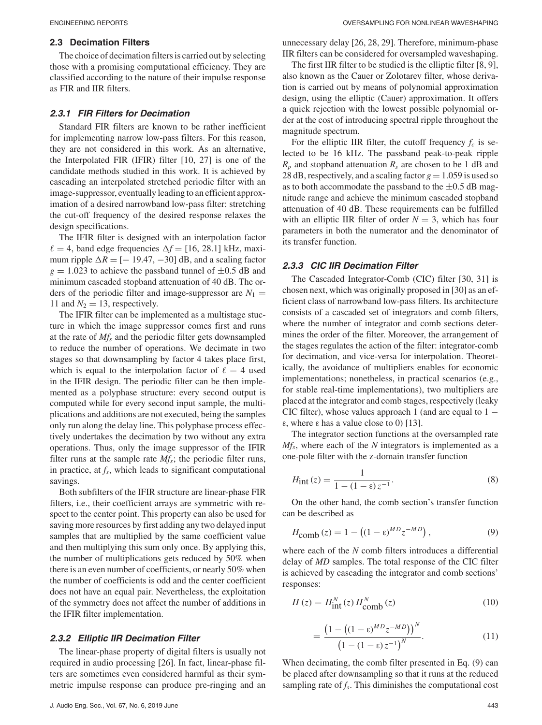#### **2.3 Decimation Filters**

The choice of decimation filters is carried out by selecting those with a promising computational efficiency. They are classified according to the nature of their impulse response as FIR and IIR filters.

#### **2.3.1 FIR Filters for Decimation**

Standard FIR filters are known to be rather inefficient for implementing narrow low-pass filters. For this reason, they are not considered in this work. As an alternative, the Interpolated FIR (IFIR) filter [10, 27] is one of the candidate methods studied in this work. It is achieved by cascading an interpolated stretched periodic filter with an image-suppressor, eventually leading to an efficient approximation of a desired narrowband low-pass filter: stretching the cut-off frequency of the desired response relaxes the design specifications.

The IFIR filter is designed with an interpolation factor  $\ell = 4$ , band edge frequencies  $\Delta f = [16, 28.1]$  kHz, maximum ripple  $\Delta R = [-19.47, -30]$  dB, and a scaling factor  $g = 1.023$  to achieve the passband tunnel of  $\pm 0.5$  dB and minimum cascaded stopband attenuation of 40 dB. The orders of the periodic filter and image-suppressor are  $N_1$  = 11 and  $N_2 = 13$ , respectively.

The IFIR filter can be implemented as a multistage stucture in which the image suppressor comes first and runs at the rate of *Mfs* and the periodic filter gets downsampled to reduce the number of operations. We decimate in two stages so that downsampling by factor 4 takes place first, which is equal to the interpolation factor of  $\ell = 4$  used in the IFIR design. The periodic filter can be then implemented as a polyphase structure: every second output is computed while for every second input sample, the multiplications and additions are not executed, being the samples only run along the delay line. This polyphase process effectively undertakes the decimation by two without any extra operations. Thus, only the image suppressor of the IFIR filter runs at the sample rate  $M_f$ ; the periodic filter runs, in practice, at *fs*, which leads to significant computational savings.

Both subfilters of the IFIR structure are linear-phase FIR filters, i.e., their coefficient arrays are symmetric with respect to the center point. This property can also be used for saving more resources by first adding any two delayed input samples that are multiplied by the same coefficient value and then multiplying this sum only once. By applying this, the number of multiplications gets reduced by 50% when there is an even number of coefficients, or nearly 50% when the number of coefficients is odd and the center coefficient does not have an equal pair. Nevertheless, the exploitation of the symmetry does not affect the number of additions in the IFIR filter implementation.

### **2.3.2 Elliptic IIR Decimation Filter**

The linear-phase property of digital filters is usually not required in audio processing [26]. In fact, linear-phase filters are sometimes even considered harmful as their symmetric impulse response can produce pre-ringing and an unnecessary delay [26, 28, 29]. Therefore, minimum-phase IIR filters can be considered for oversampled waveshaping.

The first IIR filter to be studied is the elliptic filter [8, 9], also known as the Cauer or Zolotarev filter, whose derivation is carried out by means of polynomial approximation design, using the elliptic (Cauer) approximation. It offers a quick rejection with the lowest possible polynomial order at the cost of introducing spectral ripple throughout the magnitude spectrum.

For the elliptic IIR filter, the cutoff frequency  $f_c$  is selected to be 16 kHz. The passband peak-to-peak ripple  $R_p$  and stopband attenuation  $R_s$  are chosen to be 1 dB and 28 dB, respectively, and a scaling factor  $g = 1.059$  is used so as to both accommodate the passband to the  $\pm 0.5$  dB magnitude range and achieve the minimum cascaded stopband attenuation of 40 dB. These requirements can be fulfilled with an elliptic IIR filter of order  $N = 3$ , which has four parameters in both the numerator and the denominator of its transfer function.

## **2.3.3 CIC IIR Decimation Filter**

The Cascaded Integrator-Comb (CIC) filter [30, 31] is chosen next, which was originally proposed in [30] as an efficient class of narrowband low-pass filters. Its architecture consists of a cascaded set of integrators and comb filters, where the number of integrator and comb sections determines the order of the filter. Moreover, the arrangement of the stages regulates the action of the filter: integrator-comb for decimation, and vice-versa for interpolation. Theoretically, the avoidance of multipliers enables for economic implementations; nonetheless, in practical scenarios (e.g., for stable real-time implementations), two multipliers are placed at the integrator and comb stages, respectively (leaky CIC filter), whose values approach 1 (and are equal to  $1$ ε, where ε has a value close to 0) [13].

The integrator section functions at the oversampled rate *Mfs*, where each of the *N* integrators is implemented as a one-pole filter with the z-domain transfer function

$$
H_{\text{int}}(z) = \frac{1}{1 - (1 - \varepsilon)z^{-1}}.\tag{8}
$$

On the other hand, the comb section's transfer function can be described as

$$
H_{\text{comb}}(z) = 1 - ((1 - \varepsilon)^{MD} z^{-MD}), \qquad (9)
$$

where each of the *N* comb filters introduces a differential delay of *MD* samples. The total response of the CIC filter is achieved by cascading the integrator and comb sections' responses:

$$
H(z) = H_{\text{int}}^{N}(z) H_{\text{comb}}^{N}(z)
$$
\n(10)

$$
=\frac{\left(1-\left((1-\epsilon)^{MD}z^{-MD}\right)\right)^N}{\left(1-(1-\epsilon)z^{-1}\right)^N}.
$$
\n(11)

When decimating, the comb filter presented in Eq. (9) can be placed after downsampling so that it runs at the reduced sampling rate of  $f_s$ . This diminishes the computational cost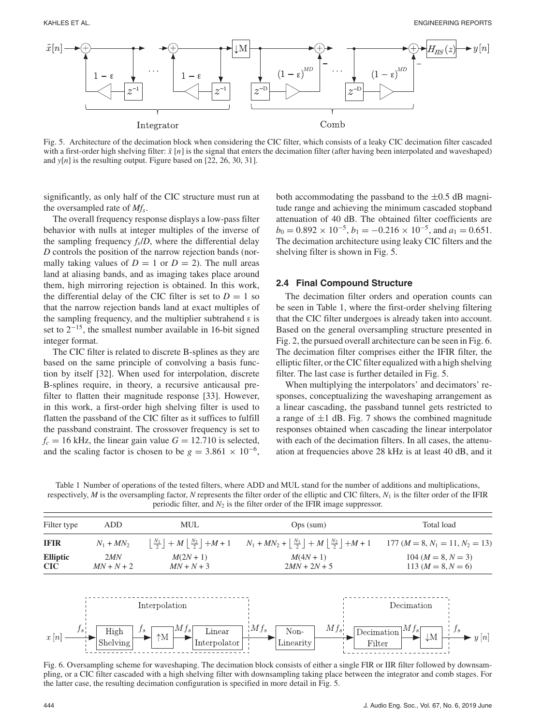

Fig. 5. Architecture of the decimation block when considering the CIC filter, which consists of a leaky CIC decimation filter cascaded with a first-order high shelving filter:  $\tilde{x}[n]$  is the signal that enters the decimation filter (after having been interpolated and waveshaped) and *y*[*n*] is the resulting output. Figure based on [22, 26, 30, 31].

significantly, as only half of the CIC structure must run at the oversampled rate of *Mfs*.

The overall frequency response displays a low-pass filter behavior with nulls at integer multiples of the inverse of the sampling frequency  $f_s/D$ , where the differential delay *D* controls the position of the narrow rejection bands (normally taking values of  $D = 1$  or  $D = 2$ ). The null areas land at aliasing bands, and as imaging takes place around them, high mirroring rejection is obtained. In this work, the differential delay of the CIC filter is set to  $D = 1$  so that the narrow rejection bands land at exact multiples of the sampling frequency, and the multiplier subtrahend ε is set to  $2^{-15}$ , the smallest number available in 16-bit signed integer format.

The CIC filter is related to discrete B-splines as they are based on the same principle of convolving a basis function by itself [32]. When used for interpolation, discrete B-splines require, in theory, a recursive anticausal prefilter to flatten their magnitude response [33]. However, in this work, a first-order high shelving filter is used to flatten the passband of the CIC filter as it suffices to fulfill the passband constraint. The crossover frequency is set to  $f_c = 16$  kHz, the linear gain value  $G = 12.710$  is selected, and the scaling factor is chosen to be  $g = 3.861 \times 10^{-6}$ ,

both accommodating the passband to the  $\pm 0.5$  dB magnitude range and achieving the minimum cascaded stopband attenuation of 40 dB. The obtained filter coefficients are  $b_0 = 0.892 \times 10^{-5}$ ,  $b_1 = -0.216 \times 10^{-5}$ , and  $a_1 = 0.651$ . The decimation architecture using leaky CIC filters and the shelving filter is shown in Fig. 5.

## **2.4 Final Compound Structure**

The decimation filter orders and operation counts can be seen in Table 1, where the first-order shelving filtering that the CIC filter undergoes is already taken into account. Based on the general oversampling structure presented in Fig. 2, the pursued overall architecture can be seen in Fig. 6. The decimation filter comprises either the IFIR filter, the elliptic filter, or the CIC filter equalized with a high shelving filter. The last case is further detailed in Fig. 5.

When multiplying the interpolators' and decimators' responses, conceptualizing the waveshaping arrangement as a linear cascading, the passband tunnel gets restricted to a range of  $\pm 1$  dB. Fig. 7 shows the combined magnitude responses obtained when cascading the linear interpolator with each of the decimation filters. In all cases, the attenuation at frequencies above 28 kHz is at least 40 dB, and it

Table 1 Number of operations of the tested filters, where ADD and MUL stand for the number of additions and multiplications, respectively,  $M$  is the oversampling factor,  $N$  represents the filter order of the elliptic and CIC filters,  $N_1$  is the filter order of the IFIR periodic filter, and  $N_2$  is the filter order of the IFIR image suppressor.

| Filter type            | ADD -               | <b>MUL</b>                | $Ops$ (sum)                                                                                                                        | Total load                                     |
|------------------------|---------------------|---------------------------|------------------------------------------------------------------------------------------------------------------------------------|------------------------------------------------|
| <b>IFIR</b>            | $N_1 + MN_2$        |                           | $\left \frac{N_1}{2}\right +M\left \frac{N_2}{2}\right +M+1$ $N_1+MN_2+\left \frac{N_1}{2}\right +M\left \frac{N_2}{2}\right +M+1$ | 177 ( $M = 8$ , $N_1 = 11$ , $N_2 = 13$ )      |
| <b>Elliptic</b><br>CIC | 2MN<br>$MN + N + 2$ | $M(2N+1)$<br>$MN + N + 3$ | $M(4N + 1)$<br>$2MN + 2N + 5$                                                                                                      | $104 (M = 8, N = 3)$<br>113 ( $M = 8, N = 6$ ) |



Fig. 6. Oversampling scheme for waveshaping. The decimation block consists of either a single FIR or IIR filter followed by downsampling, or a CIC filter cascaded with a high shelving filter with downsampling taking place between the integrator and comb stages. For the latter case, the resulting decimation configuration is specified in more detail in Fig. 5.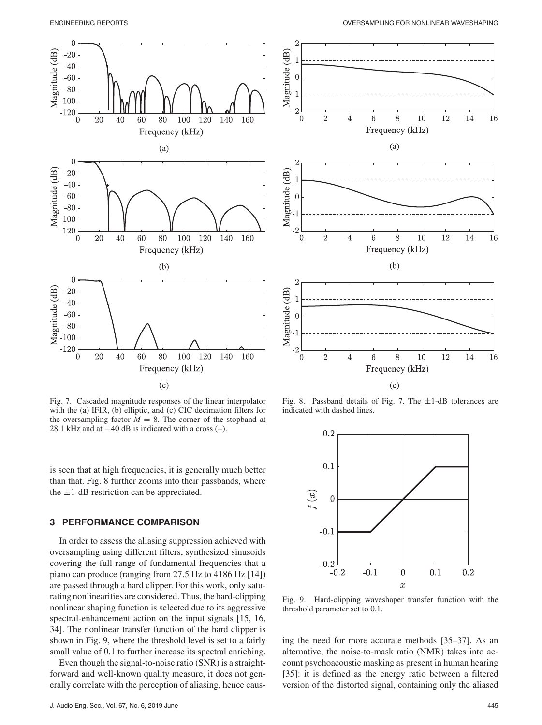



Fig. 7. Cascaded magnitude responses of the linear interpolator

with the (a) IFIR, (b) elliptic, and (c) CIC decimation filters for the oversampling factor  $M = 8$ . The corner of the stopband at 28.1 kHz and at  $-40$  dB is indicated with a cross  $(+)$ .

is seen that at high frequencies, it is generally much better than that. Fig. 8 further zooms into their passbands, where the  $\pm$ 1-dB restriction can be appreciated.

## **3 PERFORMANCE COMPARISON**

In order to assess the aliasing suppression achieved with oversampling using different filters, synthesized sinusoids covering the full range of fundamental frequencies that a piano can produce (ranging from 27.5 Hz to 4186 Hz [14]) are passed through a hard clipper. For this work, only saturating nonlinearities are considered. Thus, the hard-clipping nonlinear shaping function is selected due to its aggressive spectral-enhancement action on the input signals [15, 16, 34]. The nonlinear transfer function of the hard clipper is shown in Fig. 9, where the threshold level is set to a fairly small value of 0.1 to further increase its spectral enriching.

Even though the signal-to-noise ratio (SNR) is a straightforward and well-known quality measure, it does not generally correlate with the perception of aliasing, hence caus-



Fig. 8. Passband details of Fig. 7. The  $\pm 1$ -dB tolerances are indicated with dashed lines.



Fig. 9. Hard-clipping waveshaper transfer function with the threshold parameter set to 0.1.

ing the need for more accurate methods [35–37]. As an alternative, the noise-to-mask ratio (NMR) takes into account psychoacoustic masking as present in human hearing [35]: it is defined as the energy ratio between a filtered version of the distorted signal, containing only the aliased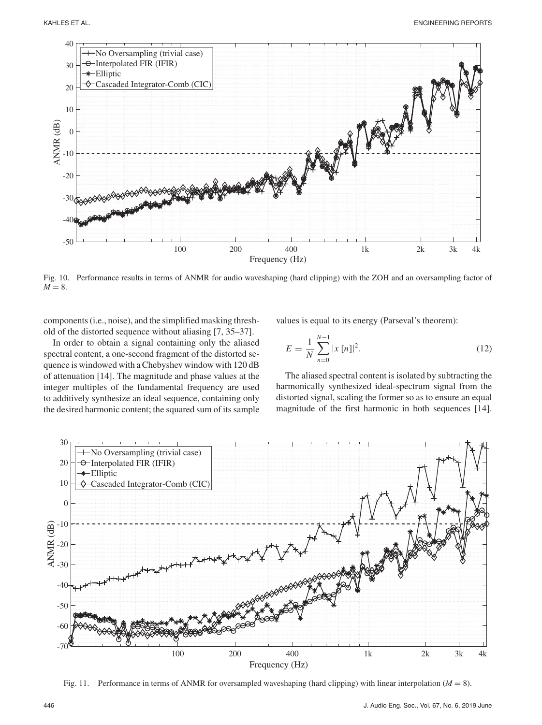

Fig. 10. Performance results in terms of ANMR for audio waveshaping (hard clipping) with the ZOH and an oversampling factor of  $M = 8$ .

components (i.e., noise), and the simplified masking threshold of the distorted sequence without aliasing [7, 35–37].

In order to obtain a signal containing only the aliased spectral content, a one-second fragment of the distorted sequence is windowed with a Chebyshev window with 120 dB of attenuation [14]. The magnitude and phase values at the integer multiples of the fundamental frequency are used to additively synthesize an ideal sequence, containing only the desired harmonic content; the squared sum of its sample values is equal to its energy (Parseval's theorem):

$$
E = \frac{1}{N} \sum_{n=0}^{N-1} |x[n]|^2.
$$
 (12)

The aliased spectral content is isolated by subtracting the harmonically synthesized ideal-spectrum signal from the distorted signal, scaling the former so as to ensure an equal magnitude of the first harmonic in both sequences [14].



Fig. 11. Performance in terms of ANMR for oversampled waveshaping (hard clipping) with linear interpolation ( $M = 8$ ).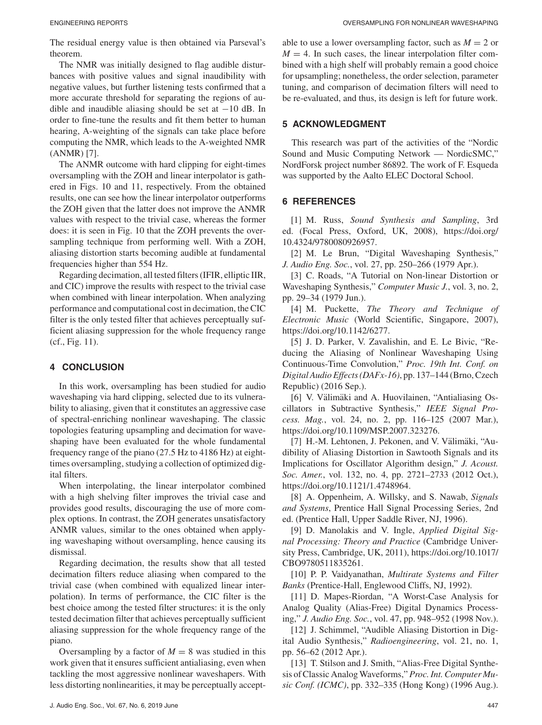The residual energy value is then obtained via Parseval's theorem.

The NMR was initially designed to flag audible disturbances with positive values and signal inaudibility with negative values, but further listening tests confirmed that a more accurate threshold for separating the regions of audible and inaudible aliasing should be set at  $-10$  dB. In order to fine-tune the results and fit them better to human hearing, A-weighting of the signals can take place before computing the NMR, which leads to the A-weighted NMR (ANMR) [7].

The ANMR outcome with hard clipping for eight-times oversampling with the ZOH and linear interpolator is gathered in Figs. 10 and 11, respectively. From the obtained results, one can see how the linear interpolator outperforms the ZOH given that the latter does not improve the ANMR values with respect to the trivial case, whereas the former does: it is seen in Fig. 10 that the ZOH prevents the oversampling technique from performing well. With a ZOH, aliasing distortion starts becoming audible at fundamental frequencies higher than 554 Hz.

Regarding decimation, all tested filters (IFIR, elliptic IIR, and CIC) improve the results with respect to the trivial case when combined with linear interpolation. When analyzing performance and computational cost in decimation, the CIC filter is the only tested filter that achieves perceptually sufficient aliasing suppression for the whole frequency range (cf., Fig. 11).

## **4 CONCLUSION**

In this work, oversampling has been studied for audio waveshaping via hard clipping, selected due to its vulnerability to aliasing, given that it constitutes an aggressive case of spectral-enriching nonlinear waveshaping. The classic topologies featuring upsampling and decimation for waveshaping have been evaluated for the whole fundamental frequency range of the piano (27.5 Hz to 4186 Hz) at eighttimes oversampling, studying a collection of optimized digital filters.

When interpolating, the linear interpolator combined with a high shelving filter improves the trivial case and provides good results, discouraging the use of more complex options. In contrast, the ZOH generates unsatisfactory ANMR values, similar to the ones obtained when applying waveshaping without oversampling, hence causing its dismissal.

Regarding decimation, the results show that all tested decimation filters reduce aliasing when compared to the trivial case (when combined with equalized linear interpolation). In terms of performance, the CIC filter is the best choice among the tested filter structures: it is the only tested decimation filter that achieves perceptually sufficient aliasing suppression for the whole frequency range of the piano.

Oversampling by a factor of  $M = 8$  was studied in this work given that it ensures sufficient antialiasing, even when tackling the most aggressive nonlinear waveshapers. With less distorting nonlinearities, it may be perceptually acceptable to use a lower oversampling factor, such as  $M = 2$  or  $M = 4$ . In such cases, the linear interpolation filter combined with a high shelf will probably remain a good choice for upsampling; nonetheless, the order selection, parameter tuning, and comparison of decimation filters will need to be re-evaluated, and thus, its design is left for future work.

# **5 ACKNOWLEDGMENT**

This research was part of the activities of the "Nordic Sound and Music Computing Network — NordicSMC," NordForsk project number 86892. The work of F. Esqueda was supported by the Aalto ELEC Doctoral School.

# **6 REFERENCES**

[1] M. Russ, *Sound Synthesis and Sampling*, 3rd ed. (Focal Press, Oxford, UK, 2008), https://doi.org/ 10.4324/9780080926957.

[2] M. Le Brun, "Digital Waveshaping Synthesis," *J. Audio Eng. Soc.*, vol. 27, pp. 250–266 (1979 Apr.).

[3] C. Roads, "A Tutorial on Non-linear Distortion or Waveshaping Synthesis," *Computer Music J.*, vol. 3, no. 2, pp. 29–34 (1979 Jun.).

[4] M. Puckette, *The Theory and Technique of Electronic Music* (World Scientific, Singapore, 2007), https://doi.org/10.1142/6277.

[5] J. D. Parker, V. Zavalishin, and E. Le Bivic, "Reducing the Aliasing of Nonlinear Waveshaping Using Continuous-Time Convolution," *Proc. 19th Int. Conf. on Digital Audio Effects (DAFx-16)*, pp. 137–144 (Brno, Czech Republic) (2016 Sep.).

[6] V. Välimäki and A. Huovilainen, "Antialiasing Oscillators in Subtractive Synthesis," *IEEE Signal Process. Mag.*, vol. 24, no. 2, pp. 116–125 (2007 Mar.), https://doi.org/10.1109/MSP.2007.323276.

[7] H.-M. Lehtonen, J. Pekonen, and V. Välimäki, "Audibility of Aliasing Distortion in Sawtooth Signals and its Implications for Oscillator Algorithm design," *J. Acoust. Soc. Amer.*, vol. 132, no. 4, pp. 2721–2733 (2012 Oct.), https://doi.org/10.1121/1.4748964.

[8] A. Oppenheim, A. Willsky, and S. Nawab, *Signals and Systems*, Prentice Hall Signal Processing Series, 2nd ed. (Prentice Hall, Upper Saddle River, NJ, 1996).

[9] D. Manolakis and V. Ingle, *Applied Digital Signal Processing: Theory and Practice* (Cambridge University Press, Cambridge, UK, 2011), https://doi.org/10.1017/ CBO9780511835261.

[10] P. P. Vaidyanathan, *Multirate Systems and Filter Banks* (Prentice-Hall, Englewood Cliffs, NJ, 1992).

[11] D. Mapes-Riordan, "A Worst-Case Analysis for Analog Quality (Alias-Free) Digital Dynamics Processing," *J. Audio Eng. Soc.*, vol. 47, pp. 948–952 (1998 Nov.).

[12] J. Schimmel, "Audible Aliasing Distortion in Digital Audio Synthesis," *Radioengineering*, vol. 21, no. 1, pp. 56–62 (2012 Apr.).

[13] T. Stilson and J. Smith, "Alias-Free Digital Synthesis of Classic AnalogWaveforms," *Proc. Int. Computer Music Conf. (ICMC)*, pp. 332–335 (Hong Kong) (1996 Aug.).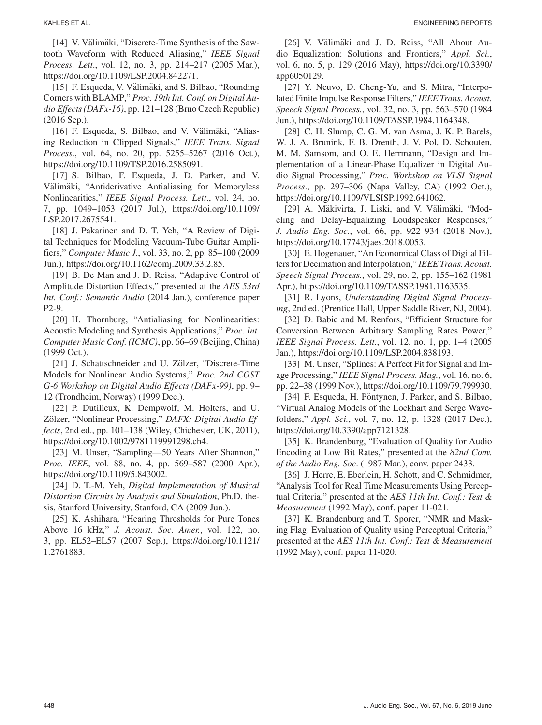[14] V. Välimäki, "Discrete-Time Synthesis of the Sawtooth Waveform with Reduced Aliasing," *IEEE Signal Process. Lett*., vol. 12, no. 3, pp. 214–217 (2005 Mar.), https://doi.org/10.1109/LSP.2004.842271.

[15] F. Esqueda, V. Välimäki, and S. Bilbao, "Rounding Corners with BLAMP," *Proc. 19th Int. Conf. on Digital Audio Effects (DAFx-16)*, pp. 121–128 (Brno Czech Republic) (2016 Sep.).

[16] F. Esqueda, S. Bilbao, and V. Välimäki, "Aliasing Reduction in Clipped Signals," *IEEE Trans. Signal Process*., vol. 64, no. 20, pp. 5255–5267 (2016 Oct.), https://doi.org/10.1109/TSP.2016.2585091.

[17] S. Bilbao, F. Esqueda, J. D. Parker, and V. Välimäki, "Antiderivative Antialiasing for Memoryless Nonlinearities," *IEEE Signal Process. Lett*., vol. 24, no. 7, pp. 1049–1053 (2017 Jul.), https://doi.org/10.1109/ LSP.2017.2675541.

[18] J. Pakarinen and D. T. Yeh, "A Review of Digital Techniques for Modeling Vacuum-Tube Guitar Amplifiers," *Computer Music J.*, vol. 33, no. 2, pp. 85–100 (2009 Jun.), https://doi.org/10.1162/comj.2009.33.2.85.

[19] B. De Man and J. D. Reiss, "Adaptive Control of Amplitude Distortion Effects," presented at the *AES 53rd Int. Conf.: Semantic Audio* (2014 Jan.), conference paper P2-9.

[20] H. Thornburg, "Antialiasing for Nonlinearities: Acoustic Modeling and Synthesis Applications," *Proc. Int. Computer Music Conf. (ICMC)*, pp. 66–69 (Beijing, China) (1999 Oct.).

[21] J. Schattschneider and U. Zölzer, "Discrete-Time" Models for Nonlinear Audio Systems," *Proc. 2nd COST G-6 Workshop on Digital Audio Effects (DAFx-99)*, pp. 9– 12 (Trondheim, Norway) (1999 Dec.).

[22] P. Dutilleux, K. Dempwolf, M. Holters, and U. Zölzer, "Nonlinear Processing," *DAFX: Digital Audio Effects*, 2nd ed., pp. 101–138 (Wiley, Chichester, UK, 2011), https://doi.org/10.1002/9781119991298.ch4.

[23] M. Unser, "Sampling—50 Years After Shannon," *Proc. IEEE*, vol. 88, no. 4, pp. 569–587 (2000 Apr.), https://doi.org/10.1109/5.843002.

[24] D. T.-M. Yeh, *Digital Implementation of Musical Distortion Circuits by Analysis and Simulation*, Ph.D. thesis, Stanford University, Stanford, CA (2009 Jun.).

[25] K. Ashihara, "Hearing Thresholds for Pure Tones Above 16 kHz," *J. Acoust. Soc. Amer.*, vol. 122, no. 3, pp. EL52–EL57 (2007 Sep.), https://doi.org/10.1121/ 1.2761883.

[26] V. Välimäki and J. D. Reiss, "All About Audio Equalization: Solutions and Frontiers," *Appl. Sci.*, vol. 6, no. 5, p. 129 (2016 May), https://doi.org/10.3390/ app6050129.

[27] Y. Neuvo, D. Cheng-Yu, and S. Mitra, "Interpolated Finite Impulse Response Filters," *IEEE Trans. Acoust. Speech Signal Process.*, vol. 32, no. 3, pp. 563–570 (1984 Jun.), https://doi.org/10.1109/TASSP.1984.1164348.

[28] C. H. Slump, C. G. M. van Asma, J. K. P. Barels, W. J. A. Brunink, F. B. Drenth, J. V. Pol, D. Schouten, M. M. Samsom, and O. E. Herrmann, "Design and Implementation of a Linear-Phase Equalizer in Digital Audio Signal Processing," *Proc. Workshop on VLSI Signal Process*., pp. 297–306 (Napa Valley, CA) (1992 Oct.), https://doi.org/10.1109/VLSISP.1992.641062.

[29] A. Mäkivirta, J. Liski, and V. Välimäki, "Modeling and Delay-Equalizing Loudspeaker Responses," *J. Audio Eng. Soc.*, vol. 66, pp. 922–934 (2018 Nov.), https://doi.org/10.17743/jaes.2018.0053.

[30] E. Hogenauer, "An Economical Class of Digital Filters for Decimation and Interpolation," *IEEE Trans. Acoust. Speech Signal Process.*, vol. 29, no. 2, pp. 155–162 (1981 Apr.), https://doi.org/10.1109/TASSP.1981.1163535.

[31] R. Lyons, *Understanding Digital Signal Processing*, 2nd ed. (Prentice Hall, Upper Saddle River, NJ, 2004).

[32] D. Babic and M. Renfors, "Efficient Structure for Conversion Between Arbitrary Sampling Rates Power," *IEEE Signal Process. Lett.*, vol. 12, no. 1, pp. 1–4 (2005 Jan.), https://doi.org/10.1109/LSP.2004.838193.

[33] M. Unser, "Splines: A Perfect Fit for Signal and Image Processing," *IEEE Signal Process. Mag.*, vol. 16, no. 6, pp. 22–38 (1999 Nov.), https://doi.org/10.1109/79.799930.

[34] F. Esqueda, H. Pöntynen, J. Parker, and S. Bilbao, "Virtual Analog Models of the Lockhart and Serge Wavefolders," *Appl. Sci.*, vol. 7, no. 12, p. 1328 (2017 Dec.), https://doi.org/10.3390/app7121328.

[35] K. Brandenburg, "Evaluation of Quality for Audio Encoding at Low Bit Rates," presented at the *82nd Conv. of the Audio Eng. Soc*. (1987 Mar.), conv. paper 2433.

[36] J. Herre, E. Eberlein, H. Schott, and C. Schmidmer, "Analysis Tool for Real Time Measurements Using Perceptual Criteria," presented at the *AES 11th Int. Conf.: Test & Measurement* (1992 May), conf. paper 11-021.

[37] K. Brandenburg and T. Sporer, "NMR and Masking Flag: Evaluation of Quality using Perceptual Criteria," presented at the *AES 11th Int. Conf.: Test & Measurement* (1992 May), conf. paper 11-020.